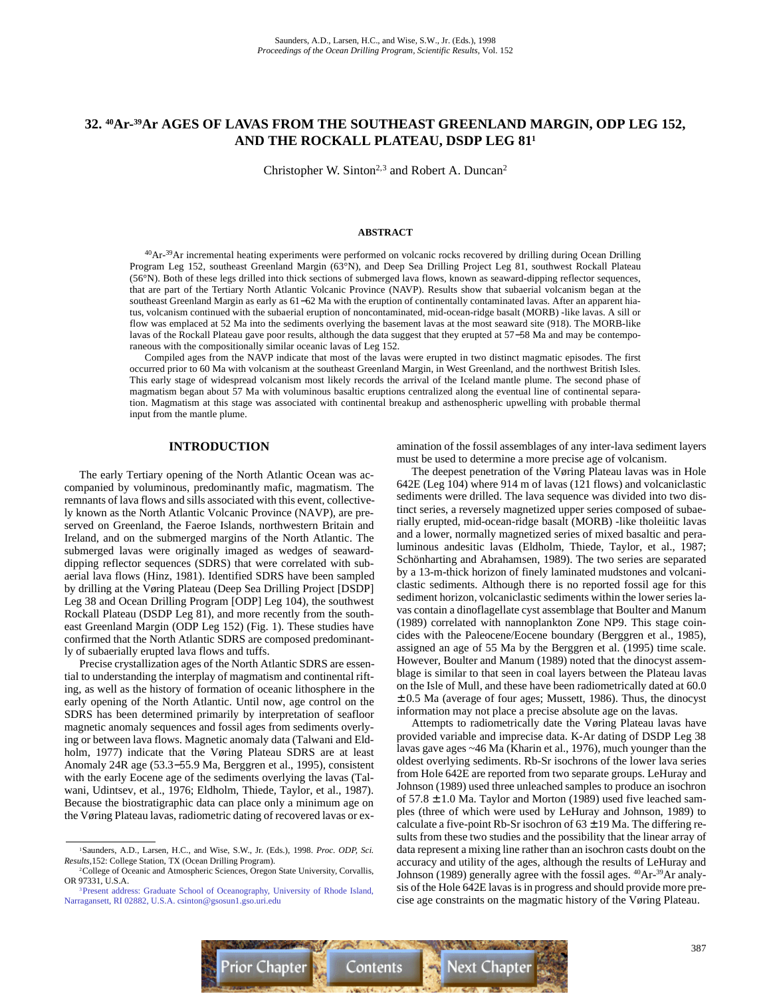# **32. 40Ar-39Ar AGES OF LAVAS FROM THE SOUTHEAST GREENLAND MARGIN, ODP LEG 152, AND THE ROCKALL PLATEAU, DSDP LEG 811**

Christopher W. Sinton<sup>2,3</sup> and Robert A. Duncan<sup>2</sup>

## **ABSTRACT**

40Ar-39Ar incremental heating experiments were performed on volcanic rocks recovered by drilling during Ocean Drilling Program Leg 152, southeast Greenland Margin (63°N), and Deep Sea Drilling Project Leg 81, southwest Rockall Plateau (56°N). Both of these legs drilled into thick sections of submerged lava flows, known as seaward-dipping reflector sequences, that are part of the Tertiary North Atlantic Volcanic Province (NAVP). Results show that subaerial volcanism began at the southeast Greenland Margin as early as 61−62 Ma with the eruption of continentally contaminated lavas. After an apparent hiatus, volcanism continued with the subaerial eruption of noncontaminated, mid-ocean-ridge basalt (MORB) -like lavas. A sill or flow was emplaced at 52 Ma into the sediments overlying the basement lavas at the most seaward site (918). The MORB-like lavas of the Rockall Plateau gave poor results, although the data suggest that they erupted at 57−58 Ma and may be contemporaneous with the compositionally similar oceanic lavas of Leg 152.

Compiled ages from the NAVP indicate that most of the lavas were erupted in two distinct magmatic episodes. The first occurred prior to 60 Ma with volcanism at the southeast Greenland Margin, in West Greenland, and the northwest British Isles. This early stage of widespread volcanism most likely records the arrival of the Iceland mantle plume. The second phase of magmatism began about 57 Ma with voluminous basaltic eruptions centralized along the eventual line of continental separation. Magmatism at this stage was associated with continental breakup and asthenospheric upwelling with probable thermal input from the mantle plume.

# **INTRODUCTION**

The early Tertiary opening of the North Atlantic Ocean was accompanied by voluminous, predominantly mafic, magmatism. The remnants of lava flows and sills associated with this event, collectively known as the North Atlantic Volcanic Province (NAVP), are preserved on Greenland, the Faeroe Islands, northwestern Britain and Ireland, and on the submerged margins of the North Atlantic. The submerged lavas were originally imaged as wedges of seawarddipping reflector sequences (SDRS) that were correlated with subaerial lava flows (Hinz, 1981). Identified SDRS have been sampled by drilling at the Vøring Plateau (Deep Sea Drilling Project [DSDP] Leg 38 and Ocean Drilling Program [ODP] Leg 104), the southwest Rockall Plateau (DSDP Leg 81), and more recently from the southeast Greenland Margin (ODP Leg 152) (Fig. 1). These studies have confirmed that the North Atlantic SDRS are composed predominantly of subaerially erupted lava flows and tuffs.

Precise crystallization ages of the North Atlantic SDRS are essential to understanding the interplay of magmatism and continental rifting, as well as the history of formation of oceanic lithosphere in the early opening of the North Atlantic. Until now, age control on the SDRS has been determined primarily by interpretation of seafloor magnetic anomaly sequences and fossil ages from sediments overlying or between lava flows. Magnetic anomaly data (Talwani and Eldholm, 1977) indicate that the Vøring Plateau SDRS are at least Anomaly 24R age (53.3−55.9 Ma, Berggren et al., 1995), consistent with the early Eocene age of the sediments overlying the lavas (Talwani, Udintsev, et al., 1976; Eldholm, Thiede, Taylor, et al., 1987). Because the biostratigraphic data can place only a minimum age on the Vøring Plateau lavas, radiometric dating of recovered lavas or examination of the fossil assemblages of any inter-lava sediment layers must be used to determine a more precise age of volcanism.

The deepest penetration of the Vøring Plateau lavas was in Hole 642E (Leg 104) where 914 m of lavas (121 flows) and volcaniclastic sediments were drilled. The lava sequence was divided into two distinct series, a reversely magnetized upper series composed of subaerially erupted, mid-ocean-ridge basalt (MORB) -like tholeiitic lavas and a lower, normally magnetized series of mixed basaltic and peraluminous andesitic lavas (Eldholm, Thiede, Taylor, et al., 1987; Schönharting and Abrahamsen, 1989). The two series are separated by a 13-m-thick horizon of finely laminated mudstones and volcaniclastic sediments. Although there is no reported fossil age for this sediment horizon, volcaniclastic sediments within the lower series lavas contain a dinoflagellate cyst assemblage that Boulter and Manum (1989) correlated with nannoplankton Zone NP9. This stage coincides with the Paleocene/Eocene boundary (Berggren et al., 1985), assigned an age of 55 Ma by the Berggren et al. (1995) time scale. However, Boulter and Manum (1989) noted that the dinocyst assemblage is similar to that seen in coal layers between the Plateau lavas on the Isle of Mull, and these have been radiometrically dated at 60.0  $\pm$  0.5 Ma (average of four ages; Mussett, 1986). Thus, the dinocyst information may not place a precise absolute age on the lavas.

Attempts to radiometrically date the Vøring Plateau lavas have provided variable and imprecise data. K-Ar dating of DSDP Leg 38 lavas gave ages ~46 Ma (Kharin et al., 1976), much younger than the oldest overlying sediments. Rb-Sr isochrons of the lower lava series from Hole 642E are reported from two separate groups. LeHuray and Johnson (1989) used three unleached samples to produce an isochron of  $57.8 \pm 1.0$  Ma. Taylor and Morton (1989) used five leached samples (three of which were used by LeHuray and Johnson, 1989) to calculate a five-point Rb-Sr isochron of  $63 \pm 19$  Ma. The differing results from these two studies and the possibility that the linear array of data represent a mixing line rather than an isochron casts doubt on the accuracy and utility of the ages, although the results of LeHuray and Johnson (1989) generally agree with the fossil ages. 40Ar-39Ar analysis of the Hole 642E lavas is in progress and should provide more precise age constraints on the magmatic history of the Vøring Plateau.



<sup>1</sup>Saunders, A.D., Larsen, H.C., and Wise, S.W., Jr. (Eds.), 1998. *Proc. ODP, Sci. Results,*152: College Station, TX (Ocean Drilling Program).

<sup>2</sup>College of Oceanic and Atmospheric Sciences, Oregon State University, Corvallis, OR 97331, U.S.A.

[<sup>3</sup>Present address: Graduate School of Oceanography, University of Rhode Island,](mailto:csinton@gsosun1.gso.uri.edu) Narragansett, RI 02882, U.S.A. csinton@gsosun1.gso.uri.edu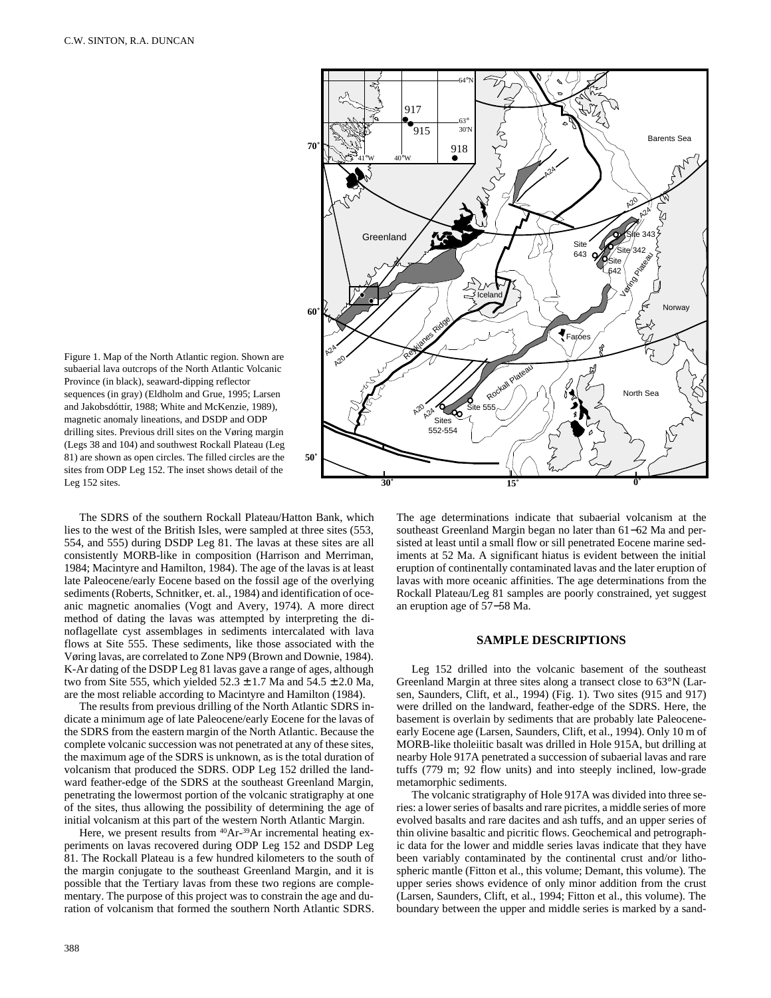

Figure 1. Map of the North Atlantic region. Shown are subaerial lava outcrops of the North Atlantic Volcanic Province (in black), seaward-dipping reflector sequences (in gray) (Eldholm and Grue, 1995; Larsen and Jakobsdóttir, 1988; White and McKenzie, 1989), magnetic anomaly lineations, and DSDP and ODP drilling sites. Previous drill sites on the Vøring margin (Legs 38 and 104) and southwest Rockall Plateau (Leg 81) are shown as open circles. The filled circles are the sites from ODP Leg 152. The inset shows detail of the Leg 152 sites.

The SDRS of the southern Rockall Plateau/Hatton Bank, which lies to the west of the British Isles, were sampled at three sites (553, 554, and 555) during DSDP Leg 81. The lavas at these sites are all consistently MORB-like in composition (Harrison and Merriman, 1984; Macintyre and Hamilton, 1984). The age of the lavas is at least late Paleocene/early Eocene based on the fossil age of the overlying sediments (Roberts, Schnitker, et. al., 1984) and identification of oceanic magnetic anomalies (Vogt and Avery, 1974). A more direct method of dating the lavas was attempted by interpreting the dinoflagellate cyst assemblages in sediments intercalated with lava flows at Site 555. These sediments, like those associated with the Vøring lavas, are correlated to Zone NP9 (Brown and Downie, 1984). K-Ar dating of the DSDP Leg 81 lavas gave a range of ages, although two from Site 555, which yielded  $52.3 \pm 1.7$  Ma and  $54.5 \pm 2.0$  Ma, are the most reliable according to Macintyre and Hamilton (1984).

The results from previous drilling of the North Atlantic SDRS indicate a minimum age of late Paleocene/early Eocene for the lavas of the SDRS from the eastern margin of the North Atlantic. Because the complete volcanic succession was not penetrated at any of these sites, the maximum age of the SDRS is unknown, as is the total duration of volcanism that produced the SDRS. ODP Leg 152 drilled the landward feather-edge of the SDRS at the southeast Greenland Margin, penetrating the lowermost portion of the volcanic stratigraphy at one of the sites, thus allowing the possibility of determining the age of initial volcanism at this part of the western North Atlantic Margin.

Here, we present results from <sup>40</sup>Ar-<sup>39</sup>Ar incremental heating experiments on lavas recovered during ODP Leg 152 and DSDP Leg 81. The Rockall Plateau is a few hundred kilometers to the south of the margin conjugate to the southeast Greenland Margin, and it is possible that the Tertiary lavas from these two regions are complementary. The purpose of this project was to constrain the age and duration of volcanism that formed the southern North Atlantic SDRS.

The age determinations indicate that subaerial volcanism at the southeast Greenland Margin began no later than 61−62 Ma and persisted at least until a small flow or sill penetrated Eocene marine sediments at 52 Ma. A significant hiatus is evident between the initial eruption of continentally contaminated lavas and the later eruption of lavas with more oceanic affinities. The age determinations from the Rockall Plateau/Leg 81 samples are poorly constrained, yet suggest an eruption age of 57−58 Ma.

# **SAMPLE DESCRIPTIONS**

Leg 152 drilled into the volcanic basement of the southeast Greenland Margin at three sites along a transect close to 63°N (Larsen, Saunders, Clift, et al., 1994) (Fig. 1). Two sites (915 and 917) were drilled on the landward, feather-edge of the SDRS. Here, the basement is overlain by sediments that are probably late Paleoceneearly Eocene age (Larsen, Saunders, Clift, et al., 1994). Only 10 m of MORB-like tholeiitic basalt was drilled in Hole 915A, but drilling at nearby Hole 917A penetrated a succession of subaerial lavas and rare tuffs (779 m; 92 flow units) and into steeply inclined, low-grade metamorphic sediments.

The volcanic stratigraphy of Hole 917A was divided into three series: a lower series of basalts and rare picrites, a middle series of more evolved basalts and rare dacites and ash tuffs, and an upper series of thin olivine basaltic and picritic flows. Geochemical and petrographic data for the lower and middle series lavas indicate that they have been variably contaminated by the continental crust and/or lithospheric mantle (Fitton et al., this volume; Demant, this volume). The upper series shows evidence of only minor addition from the crust (Larsen, Saunders, Clift, et al., 1994; Fitton et al., this volume). The boundary between the upper and middle series is marked by a sand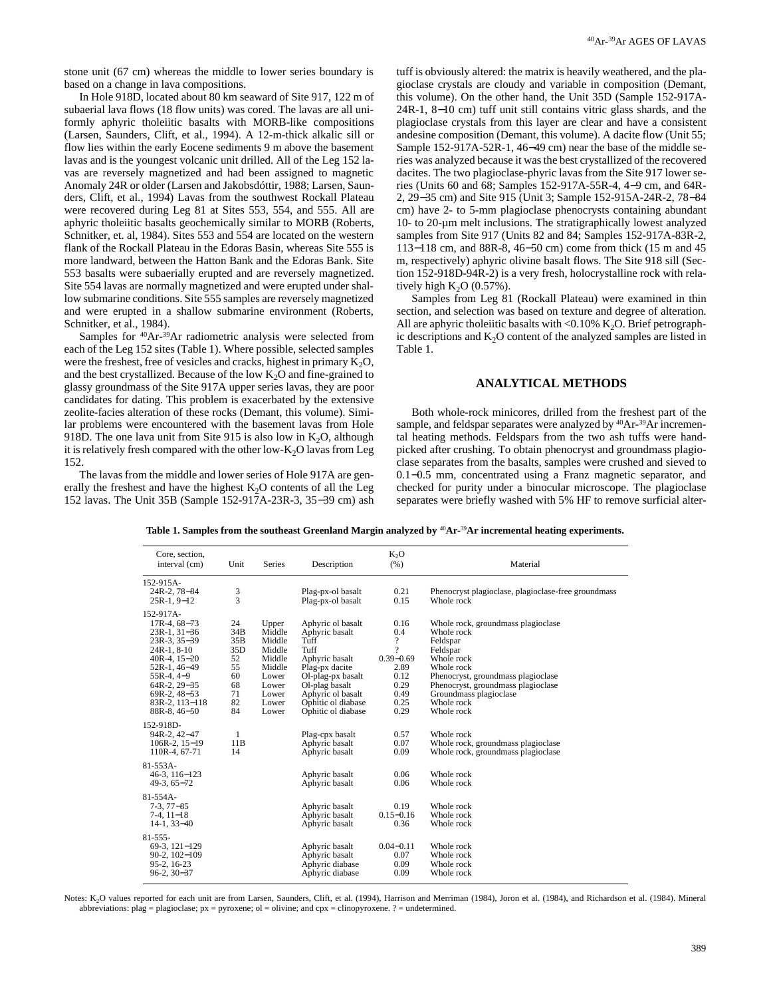stone unit (67 cm) whereas the middle to lower series boundary is based on a change in lava compositions.

In Hole 918D, located about 80 km seaward of Site 917, 122 m of subaerial lava flows (18 flow units) was cored. The lavas are all uniformly aphyric tholeiitic basalts with MORB-like compositions (Larsen, Saunders, Clift, et al., 1994). A 12-m-thick alkalic sill or flow lies within the early Eocene sediments 9 m above the basement lavas and is the youngest volcanic unit drilled. All of the Leg 152 lavas are reversely magnetized and had been assigned to magnetic Anomaly 24R or older (Larsen and Jakobsdóttir, 1988; Larsen, Saunders, Clift, et al., 1994) Lavas from the southwest Rockall Plateau were recovered during Leg 81 at Sites 553, 554, and 555. All are aphyric tholeiitic basalts geochemically similar to MORB (Roberts, Schnitker, et. al, 1984). Sites 553 and 554 are located on the western flank of the Rockall Plateau in the Edoras Basin, whereas Site 555 is more landward, between the Hatton Bank and the Edoras Bank. Site 553 basalts were subaerially erupted and are reversely magnetized. Site 554 lavas are normally magnetized and were erupted under shallow submarine conditions. Site 555 samples are reversely magnetized and were erupted in a shallow submarine environment (Roberts, Schnitker, et al., 1984).

Samples for 40Ar-39Ar radiometric analysis were selected from each of the Leg 152 sites (Table 1). Where possible, selected samples were the freshest, free of vesicles and cracks, highest in primary  $K_2O$ , and the best crystallized. Because of the low  $K<sub>2</sub>O$  and fine-grained to glassy groundmass of the Site 917A upper series lavas, they are poor candidates for dating. This problem is exacerbated by the extensive zeolite-facies alteration of these rocks (Demant, this volume). Similar problems were encountered with the basement lavas from Hole 918D. The one lava unit from Site 915 is also low in  $K_2O$ , although it is relatively fresh compared with the other low- $K<sub>2</sub>O$  lavas from Leg 152.

The lavas from the middle and lower series of Hole 917A are generally the freshest and have the highest  $K_2O$  contents of all the Leg 152 lavas. The Unit 35B (Sample 152-917A-23R-3, 35−39 cm) ash tuff is obviously altered: the matrix is heavily weathered, and the plagioclase crystals are cloudy and variable in composition (Demant, this volume). On the other hand, the Unit 35D (Sample 152-917A-24R-1, 8−10 cm) tuff unit still contains vitric glass shards, and the plagioclase crystals from this layer are clear and have a consistent andesine composition (Demant, this volume). A dacite flow (Unit 55; Sample 152-917A-52R-1, 46−49 cm) near the base of the middle series was analyzed because it was the best crystallized of the recovered dacites. The two plagioclase-phyric lavas from the Site 917 lower series (Units 60 and 68; Samples 152-917A-55R-4, 4−9 cm, and 64R-2, 29−35 cm) and Site 915 (Unit 3; Sample 152-915A-24R-2, 78−84 cm) have 2- to 5-mm plagioclase phenocrysts containing abundant 10- to 20-µm melt inclusions. The stratigraphically lowest analyzed samples from Site 917 (Units 82 and 84; Samples 152-917A-83R-2, 113−118 cm, and 88R-8, 46−50 cm) come from thick (15 m and 45 m, respectively) aphyric olivine basalt flows. The Site 918 sill (Section 152-918D-94R-2) is a very fresh, holocrystalline rock with relatively high  $K<sub>2</sub>O$  (0.57%).

Samples from Leg 81 (Rockall Plateau) were examined in thin section, and selection was based on texture and degree of alteration. All are aphyric tholeiitic basalts with <0.10% K<sub>2</sub>O. Brief petrographic descriptions and  $K<sub>2</sub>O$  content of the analyzed samples are listed in Table 1.

# **ANALYTICAL METHODS**

Both whole-rock minicores, drilled from the freshest part of the sample, and feldspar separates were analyzed by <sup>40</sup>Ar-<sup>39</sup>Ar incremental heating methods. Feldspars from the two ash tuffs were handpicked after crushing. To obtain phenocryst and groundmass plagioclase separates from the basalts, samples were crushed and sieved to 0.1−0.5 mm, concentrated using a Franz magnetic separator, and checked for purity under a binocular microscope. The plagioclase separates were briefly washed with 5% HF to remove surficial alter-

| Core, section,<br>interval (cm)<br>Unit                                                                                                                                                                          |                                                                               | Series                                                                                               | Description                                                                                                                                                                                     | $K_2O$<br>(% )                                                                         | Material                                                                                                                                                                                                                               |
|------------------------------------------------------------------------------------------------------------------------------------------------------------------------------------------------------------------|-------------------------------------------------------------------------------|------------------------------------------------------------------------------------------------------|-------------------------------------------------------------------------------------------------------------------------------------------------------------------------------------------------|----------------------------------------------------------------------------------------|----------------------------------------------------------------------------------------------------------------------------------------------------------------------------------------------------------------------------------------|
| 152-915A-<br>24R-2, 78-84<br>$25R-1, 9-12$                                                                                                                                                                       | 3<br>3                                                                        |                                                                                                      | Plag-px-ol basalt<br>Plag-px-ol basalt                                                                                                                                                          | 0.21<br>0.15                                                                           | Phenocryst plagioclase, plagioclase-free groundmass<br>Whole rock                                                                                                                                                                      |
| 152-917A-<br>$17R-4, 68-73$<br>$23R-1, 31-36$<br>$23R-3, 35-39$<br>$24R-1, 8-10$<br>$40R-4$ , $15-20$<br>52R-1, 46-49<br>$55R-4, 4-9$<br>$64R-2, 29-35$<br>69R-2, 48-53<br>$83R-2$ , $113-118$<br>$88R-8, 46-50$ | 24<br>34B<br>35B<br>35 <sub>D</sub><br>52<br>55<br>60<br>68<br>71<br>82<br>84 | Upper<br>Middle<br>Middle<br>Middle<br>Middle<br>Middle<br>Lower<br>Lower<br>Lower<br>Lower<br>Lower | Aphyric ol basalt<br>Aphyric basalt<br>Tuff<br>Tuff<br>Aphyric basalt<br>Plag-px dacite<br>Ol-plag-px basalt<br>Ol-plag basalt<br>Aphyric ol basalt<br>Ophitic ol diabase<br>Ophitic ol diabase | 0.16<br>0.4<br>?<br>9<br>$0.39 - 0.69$<br>2.89<br>0.12<br>0.29<br>0.49<br>0.25<br>0.29 | Whole rock, groundmass plagioclase<br>Whole rock<br>Feldspar<br>Feldspar<br>Whole rock<br>Whole rock<br>Phenocryst, groundmass plagioclase<br>Phenocryst, groundmass plagioclase<br>Groundmass plagioclase<br>Whole rock<br>Whole rock |
| 152-918D-<br>94R-2, 42-47<br>$106R-2$ , $15-19$<br>110R-4, 67-71                                                                                                                                                 | 1<br>11B<br>14                                                                |                                                                                                      | Plag-cpx basalt<br>Aphyric basalt<br>Aphyric basalt                                                                                                                                             | 0.57<br>0.07<br>0.09                                                                   | Whole rock<br>Whole rock, groundmass plagioclase<br>Whole rock, groundmass plagioclase                                                                                                                                                 |
| $81 - 553A -$<br>$46-3, 116-123$<br>$49-3, 65-72$                                                                                                                                                                |                                                                               |                                                                                                      | Aphyric basalt<br>Aphyric basalt                                                                                                                                                                | 0.06<br>0.06                                                                           | Whole rock<br>Whole rock                                                                                                                                                                                                               |
| $81 - 554A -$<br>$7-3, 77-85$<br>$7-4.11-18$<br>$14-1, 33-40$                                                                                                                                                    |                                                                               |                                                                                                      | Aphyric basalt<br>Aphyric basalt<br>Aphyric basalt                                                                                                                                              | 0.19<br>$0.15 - 0.16$<br>0.36                                                          | Whole rock<br>Whole rock<br>Whole rock                                                                                                                                                                                                 |
| $81 - 555 -$<br>69-3, 121-129<br>$90-2, 102-109$<br>95-2, 16-23<br>$96-2, 30-37$                                                                                                                                 |                                                                               |                                                                                                      | Aphyric basalt<br>Aphyric basalt<br>Aphyric diabase<br>Aphyric diabase                                                                                                                          | $0.04 - 0.11$<br>0.07<br>0.09<br>0.09                                                  | Whole rock<br>Whole rock<br>Whole rock<br>Whole rock                                                                                                                                                                                   |

**Table 1. Samples from the southeast Greenland Margin analyzed by** 40**Ar-**39**Ar incremental heating experiments.**

Notes: K<sub>2</sub>O values reported for each unit are from Larsen, Saunders, Clift, et al. (1994), Harrison and Merriman (1984), Joron et al. (1984), and Richardson et al. (1984). Mineral abbreviations: plag = plagioclase;  $px = pyrozen$ ; ol = olivine; and  $cpx = clinopyrozen$ . ? = undetermined.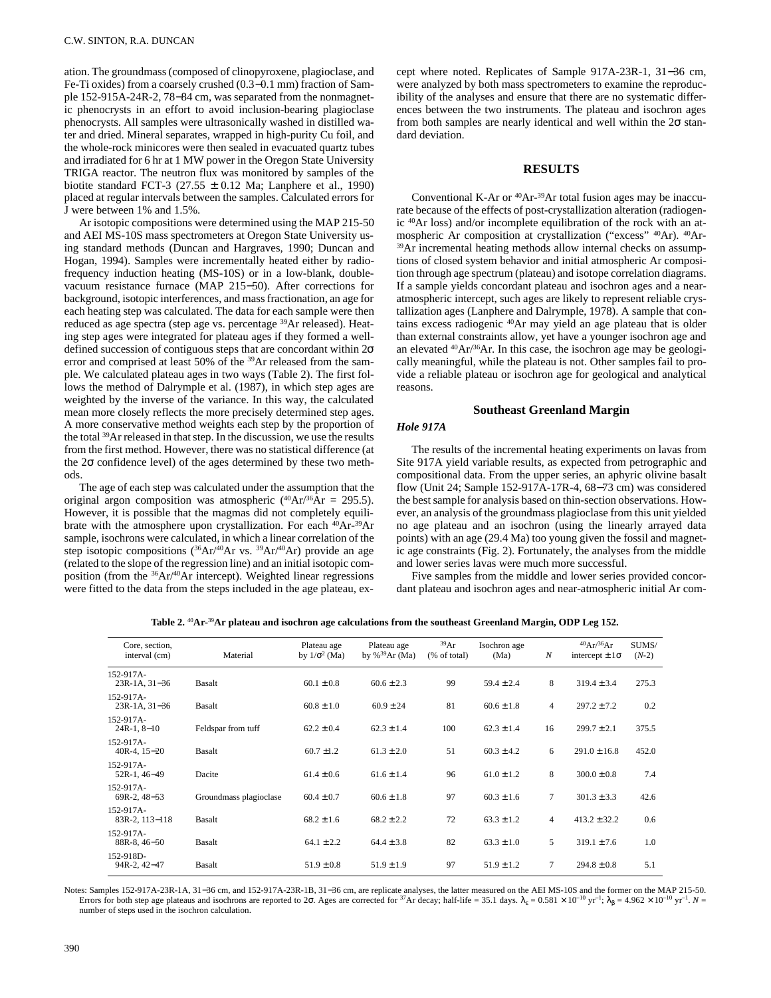ation. The groundmass (composed of clinopyroxene, plagioclase, and Fe-Ti oxides) from a coarsely crushed (0.3−0.1 mm) fraction of Sample 152-915A-24R-2, 78−84 cm, was separated from the nonmagnetic phenocrysts in an effort to avoid inclusion-bearing plagioclase phenocrysts. All samples were ultrasonically washed in distilled water and dried. Mineral separates, wrapped in high-purity Cu foil, and the whole-rock minicores were then sealed in evacuated quartz tubes and irradiated for 6 hr at 1 MW power in the Oregon State University TRIGA reactor. The neutron flux was monitored by samples of the biotite standard FCT-3 (27.55  $\pm$  0.12 Ma; Lanphere et al., 1990) placed at regular intervals between the samples. Calculated errors for J were between 1% and 1.5%.

Ar isotopic compositions were determined using the MAP 215-50 and AEI MS-10S mass spectrometers at Oregon State University using standard methods (Duncan and Hargraves, 1990; Duncan and Hogan, 1994). Samples were incrementally heated either by radiofrequency induction heating (MS-10S) or in a low-blank, doublevacuum resistance furnace (MAP 215−50). After corrections for background, isotopic interferences, and mass fractionation, an age for each heating step was calculated. The data for each sample were then reduced as age spectra (step age vs. percentage <sup>39</sup>Ar released). Heating step ages were integrated for plateau ages if they formed a welldefined succession of contiguous steps that are concordant within  $2\sigma$ error and comprised at least 50% of the <sup>39</sup>Ar released from the sample. We calculated plateau ages in two ways (Table 2). The first follows the method of Dalrymple et al. (1987), in which step ages are weighted by the inverse of the variance. In this way, the calculated mean more closely reflects the more precisely determined step ages. A more conservative method weights each step by the proportion of the total 39Ar released in that step. In the discussion, we use the results from the first method. However, there was no statistical difference (at the 2σ confidence level) of the ages determined by these two methods.

The age of each step was calculated under the assumption that the original argon composition was atmospheric  $(^{40}Ar)^{36}Ar = 295.5$ ). However, it is possible that the magmas did not completely equilibrate with the atmosphere upon crystallization. For each 40Ar-39Ar sample, isochrons were calculated, in which a linear correlation of the step isotopic compositions (36Ar/40Ar vs. 39Ar/40Ar) provide an age (related to the slope of the regression line) and an initial isotopic composition (from the 36Ar/40Ar intercept). Weighted linear regressions were fitted to the data from the steps included in the age plateau, except where noted. Replicates of Sample 917A-23R-1, 31−36 cm, were analyzed by both mass spectrometers to examine the reproducibility of the analyses and ensure that there are no systematic differences between the two instruments. The plateau and isochron ages from both samples are nearly identical and well within the 2σ standard deviation.

## **RESULTS**

Conventional K-Ar or 40Ar-39Ar total fusion ages may be inaccurate because of the effects of post-crystallization alteration (radiogenic 40Ar loss) and/or incomplete equilibration of the rock with an atmospheric Ar composition at crystallization ("excess" 40Ar). 40Ar- <sup>39</sup>Ar incremental heating methods allow internal checks on assumptions of closed system behavior and initial atmospheric Ar composition through age spectrum (plateau) and isotope correlation diagrams. If a sample yields concordant plateau and isochron ages and a nearatmospheric intercept, such ages are likely to represent reliable crystallization ages (Lanphere and Dalrymple, 1978). A sample that contains excess radiogenic 40Ar may yield an age plateau that is older than external constraints allow, yet have a younger isochron age and an elevated 40Ar/36Ar. In this case, the isochron age may be geologically meaningful, while the plateau is not. Other samples fail to provide a reliable plateau or isochron age for geological and analytical reasons.

### **Southeast Greenland Margin**

## *Hole 917A*

The results of the incremental heating experiments on lavas from Site 917A yield variable results, as expected from petrographic and compositional data. From the upper series, an aphyric olivine basalt flow (Unit 24; Sample 152-917A-17R-4, 68−73 cm) was considered the best sample for analysis based on thin-section observations. However, an analysis of the groundmass plagioclase from this unit yielded no age plateau and an isochron (using the linearly arrayed data points) with an age (29.4 Ma) too young given the fossil and magnetic age constraints (Fig. 2). Fortunately, the analyses from the middle and lower series lavas were much more successful.

Five samples from the middle and lower series provided concordant plateau and isochron ages and near-atmospheric initial Ar com-

|  |  |  |  |  |  |  | .152 Table 2. 40Ar-39Ar plateau and isochron age calculations from the southeast Greenland Margin, ODP Leg 152 |  |  |
|--|--|--|--|--|--|--|----------------------------------------------------------------------------------------------------------------|--|--|
|--|--|--|--|--|--|--|----------------------------------------------------------------------------------------------------------------|--|--|

| Core, section,<br>interval (cm)  | Material               | Plateau age<br>by $1/\sigma^2$ (Ma) | Plateau age<br>by % $^{39}Ar$ (Ma) | 39Ar<br>$(% \mathcal{L}_{0}^{\infty})$ (% of total) | Isochron age<br>(Ma) | $\boldsymbol{N}$ | $^{40}Ar/^{36}Ar$<br>intercept $\pm 1\sigma$ | SUMS/<br>$(N-2)$ |  |
|----------------------------------|------------------------|-------------------------------------|------------------------------------|-----------------------------------------------------|----------------------|------------------|----------------------------------------------|------------------|--|
| $152-917A-$<br>$23R-1A, 31-36$   | Basalt                 | $60.1 \pm 0.8$                      | $60.6 \pm 2.3$                     | 99                                                  | $59.4 \pm 2.4$       | 8                | $319.4 \pm 3.4$                              | 275.3            |  |
| 152-917A-<br>$23R-1A, 31-36$     | Basalt                 | $60.8 \pm 1.0$                      | $60.9 \pm 24$                      | 81                                                  | $60.6 \pm 1.8$       | $\overline{4}$   | $297.2 + 7.2$                                | 0.2              |  |
| $152-917A-$<br>$24R-1.8-10$      | Feldspar from tuff     | $62.2 \pm 0.4$                      | $62.3 \pm 1.4$                     | 100                                                 | $62.3 \pm 1.4$       | 16               | $299.7 \pm 2.1$                              | 375.5            |  |
| $152-917A-$<br>$40R-4$ , $15-20$ | Basalt                 | $60.7 \pm 1.2$                      | $61.3 \pm 2.0$                     | 51                                                  | $60.3 \pm 4.2$       | 6                | $291.0 \pm 16.8$                             | 452.0            |  |
| $152-917A-$<br>$52R-1.46-49$     | Dacite                 | $61.4 \pm 0.6$                      | $61.6 \pm 1.4$                     | 96                                                  | $61.0 \pm 1.2$       | 8                | $300.0 \pm 0.8$                              | 7.4              |  |
| 152-917A-<br>$69R-2, 48-53$      | Groundmass plagioclase | $60.4 \pm 0.7$                      | $60.6 \pm 1.8$                     | 97                                                  | $60.3 \pm 1.6$       | $\overline{7}$   | $301.3 \pm 3.3$                              | 42.6             |  |
| $152-917A-$<br>83R-2, 113-118    | <b>Basalt</b>          | $68.2 + 1.6$                        | $68.2 + 2.2$                       | 72                                                  | $63.3 + 1.2$         | $\overline{4}$   | $413.2 + 32.2$                               | 0.6              |  |
| $152-917A-$<br>$88R-8, 46-50$    | Basalt                 | $64.1 \pm 2.2$                      | $64.4 \pm 3.8$                     | 82                                                  | $63.3 \pm 1.0$       | 5                | $319.1 \pm 7.6$                              | 1.0              |  |
| 152-918D-<br>94R-2, 42-47        | Basalt                 | $51.9 \pm 0.8$                      | $51.9 \pm 1.9$                     | 97                                                  | $51.9 \pm 1.2$       | $\overline{7}$   | $294.8 \pm 0.8$                              | 5.1              |  |

Notes: Samples 152-917A-23R-1A, 31−36 cm, and 152-917A-23R-1B, 31−36 cm, are replicate analyses, the latter measured on the AEI MS-10S and the former on the MAP 215-50. Errors for both step age plateaus and isochrons are reported to 2 $\sigma$ . Ages are corrected for <sup>37</sup>Ar decay; half-life = 35.1 days.  $\lambda_{\epsilon} = 0.581 \times 10^{-10}$  yr<sup>-1</sup>;  $\lambda_{\beta} = 4.962 \times 10^{-10}$  yr<sup>-1</sup>.  $N = 10^{-10}$  yr<sup>-1</sup>. number of steps used in the isochron calculation.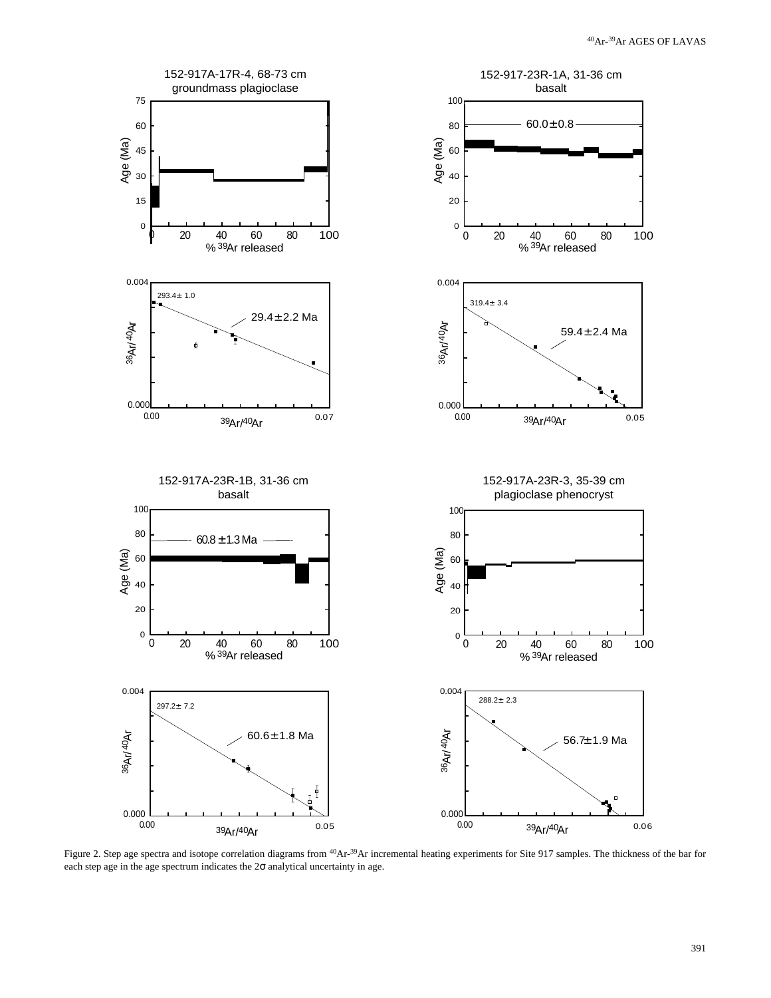

Figure 2. Step age spectra and isotope correlation diagrams from <sup>40</sup>Ar-<sup>39</sup>Ar incremental heating experiments for Site 917 samples. The thickness of the bar for each step age in the age spectrum indicates the  $2\sigma$  analytical uncertainty in age.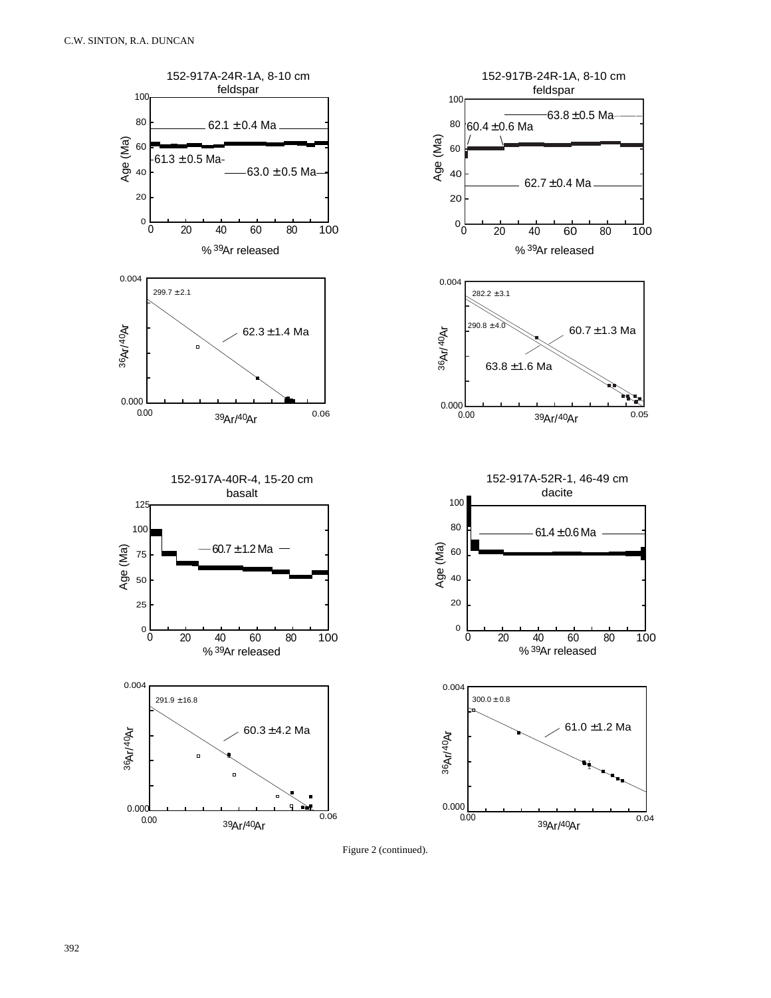

Figure 2 (continued).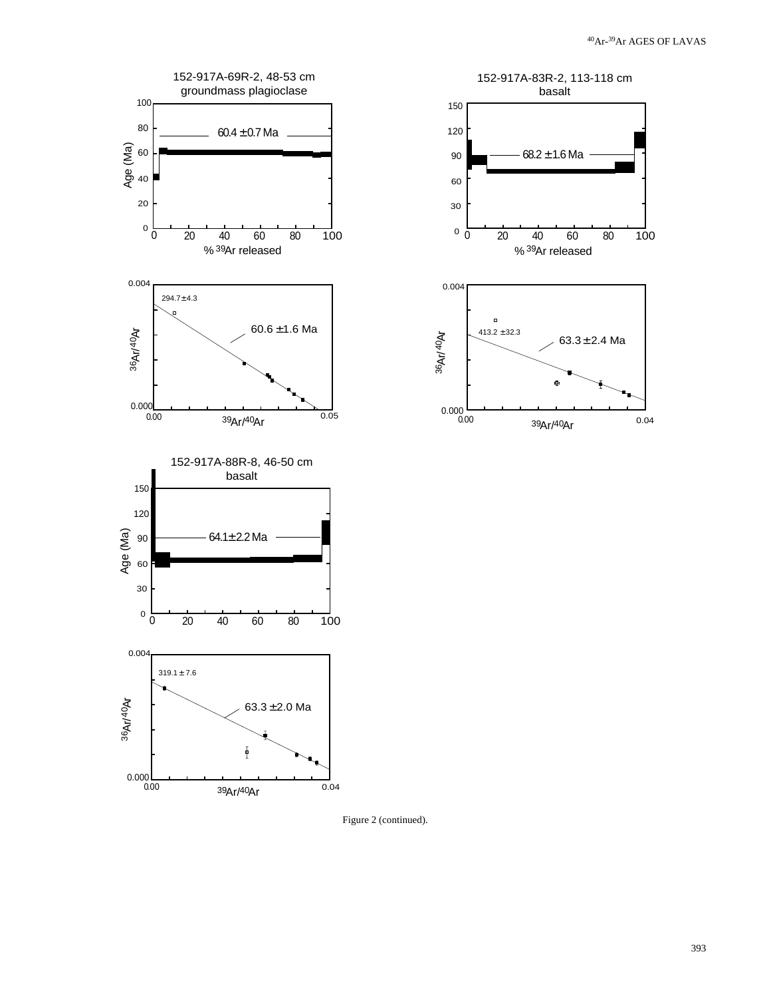



Figure 2 (continued).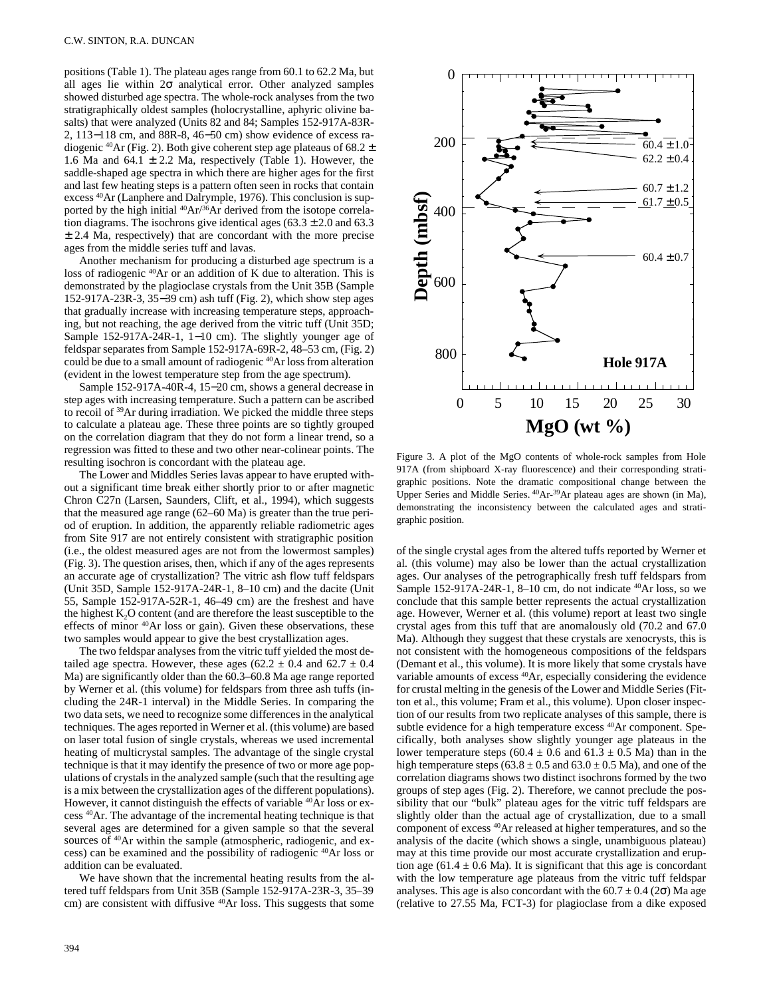positions (Table 1). The plateau ages range from 60.1 to 62.2 Ma, but all ages lie within  $2\sigma$  analytical error. Other analyzed samples showed disturbed age spectra. The whole-rock analyses from the two stratigraphically oldest samples (holocrystalline, aphyric olivine basalts) that were analyzed (Units 82 and 84; Samples 152-917A-83R-2, 113−118 cm, and 88R-8, 46−50 cm) show evidence of excess radiogenic <sup>40</sup>Ar (Fig. 2). Both give coherent step age plateaus of 68.2  $\pm$ 1.6 Ma and 64.1  $\pm$  2.2 Ma, respectively (Table 1). However, the saddle-shaped age spectra in which there are higher ages for the first and last few heating steps is a pattern often seen in rocks that contain excess 40Ar (Lanphere and Dalrymple, 1976). This conclusion is supported by the high initial  $^{40}Ar^{36}Ar$  derived from the isotope correlation diagrams. The isochrons give identical ages  $(63.3 \pm 2.0 \text{ and } 63.3 \text{)}$  $\pm$  2.4 Ma, respectively) that are concordant with the more precise ages from the middle series tuff and lavas.

Another mechanism for producing a disturbed age spectrum is a loss of radiogenic 40Ar or an addition of K due to alteration. This is demonstrated by the plagioclase crystals from the Unit 35B (Sample 152-917A-23R-3, 35−39 cm) ash tuff (Fig. 2), which show step ages that gradually increase with increasing temperature steps, approaching, but not reaching, the age derived from the vitric tuff (Unit 35D; Sample 152-917A-24R-1, 1−10 cm). The slightly younger age of feldspar separates from Sample 152-917A-69R-2, 48–53 cm, (Fig. 2) could be due to a small amount of radiogenic 40Ar loss from alteration (evident in the lowest temperature step from the age spectrum).

Sample 152-917A-40R-4, 15−20 cm, shows a general decrease in step ages with increasing temperature. Such a pattern can be ascribed to recoil of 39Ar during irradiation. We picked the middle three steps to calculate a plateau age. These three points are so tightly grouped on the correlation diagram that they do not form a linear trend, so a regression was fitted to these and two other near-colinear points. The resulting isochron is concordant with the plateau age.

The Lower and Middles Series lavas appear to have erupted without a significant time break either shortly prior to or after magnetic Chron C27n (Larsen, Saunders, Clift, et al., 1994), which suggests that the measured age range (62–60 Ma) is greater than the true period of eruption. In addition, the apparently reliable radiometric ages from Site 917 are not entirely consistent with stratigraphic position (i.e., the oldest measured ages are not from the lowermost samples) (Fig. 3). The question arises, then, which if any of the ages represents an accurate age of crystallization? The vitric ash flow tuff feldspars (Unit 35D, Sample 152-917A-24R-1, 8–10 cm) and the dacite (Unit 55, Sample 152-917A-52R-1, 46–49 cm) are the freshest and have the highest  $K_2O$  content (and are therefore the least susceptible to the effects of minor <sup>40</sup>Ar loss or gain). Given these observations, these two samples would appear to give the best crystallization ages.

The two feldspar analyses from the vitric tuff yielded the most detailed age spectra. However, these ages (62.2  $\pm$  0.4 and 62.7  $\pm$  0.4 Ma) are significantly older than the 60.3–60.8 Ma age range reported by Werner et al. (this volume) for feldspars from three ash tuffs (including the 24R-1 interval) in the Middle Series. In comparing the two data sets, we need to recognize some differences in the analytical techniques. The ages reported in Werner et al. (this volume) are based on laser total fusion of single crystals, whereas we used incremental heating of multicrystal samples. The advantage of the single crystal technique is that it may identify the presence of two or more age populations of crystals in the analyzed sample (such that the resulting age is a mix between the crystallization ages of the different populations). However, it cannot distinguish the effects of variable <sup>40</sup>Ar loss or excess 40Ar. The advantage of the incremental heating technique is that several ages are determined for a given sample so that the several sources of <sup>40</sup>Ar within the sample (atmospheric, radiogenic, and excess) can be examined and the possibility of radiogenic 40Ar loss or addition can be evaluated.

We have shown that the incremental heating results from the altered tuff feldspars from Unit 35B (Sample 152-917A-23R-3, 35–39 cm) are consistent with diffusive <sup>40</sup>Ar loss. This suggests that some



Figure 3. A plot of the MgO contents of whole-rock samples from Hole 917A (from shipboard X-ray fluorescence) and their corresponding stratigraphic positions. Note the dramatic compositional change between the Upper Series and Middle Series. 40Ar-39Ar plateau ages are shown (in Ma), demonstrating the inconsistency between the calculated ages and stratigraphic position.

of the single crystal ages from the altered tuffs reported by Werner et al. (this volume) may also be lower than the actual crystallization ages. Our analyses of the petrographically fresh tuff feldspars from Sample 152-917A-24R-1, 8–10 cm, do not indicate 40Ar loss, so we conclude that this sample better represents the actual crystallization age. However, Werner et al. (this volume) report at least two single crystal ages from this tuff that are anomalously old (70.2 and 67.0 Ma). Although they suggest that these crystals are xenocrysts, this is not consistent with the homogeneous compositions of the feldspars (Demant et al., this volume). It is more likely that some crystals have variable amounts of excess <sup>40</sup>Ar, especially considering the evidence for crustal melting in the genesis of the Lower and Middle Series (Fitton et al., this volume; Fram et al., this volume). Upon closer inspection of our results from two replicate analyses of this sample, there is subtle evidence for a high temperature excess <sup>40</sup>Ar component. Specifically, both analyses show slightly younger age plateaus in the lower temperature steps (60.4  $\pm$  0.6 and 61.3  $\pm$  0.5 Ma) than in the high temperature steps  $(63.8 \pm 0.5 \text{ and } 63.0 \pm 0.5 \text{ Ma})$ , and one of the correlation diagrams shows two distinct isochrons formed by the two groups of step ages (Fig. 2). Therefore, we cannot preclude the possibility that our "bulk" plateau ages for the vitric tuff feldspars are slightly older than the actual age of crystallization, due to a small component of excess 40Ar released at higher temperatures, and so the analysis of the dacite (which shows a single, unambiguous plateau) may at this time provide our most accurate crystallization and eruption age (61.4  $\pm$  0.6 Ma). It is significant that this age is concordant with the low temperature age plateaus from the vitric tuff feldspar analyses. This age is also concordant with the 60.7  $\pm$  0.4 (2 $\sigma$ ) Ma age (relative to 27.55 Ma, FCT-3) for plagioclase from a dike exposed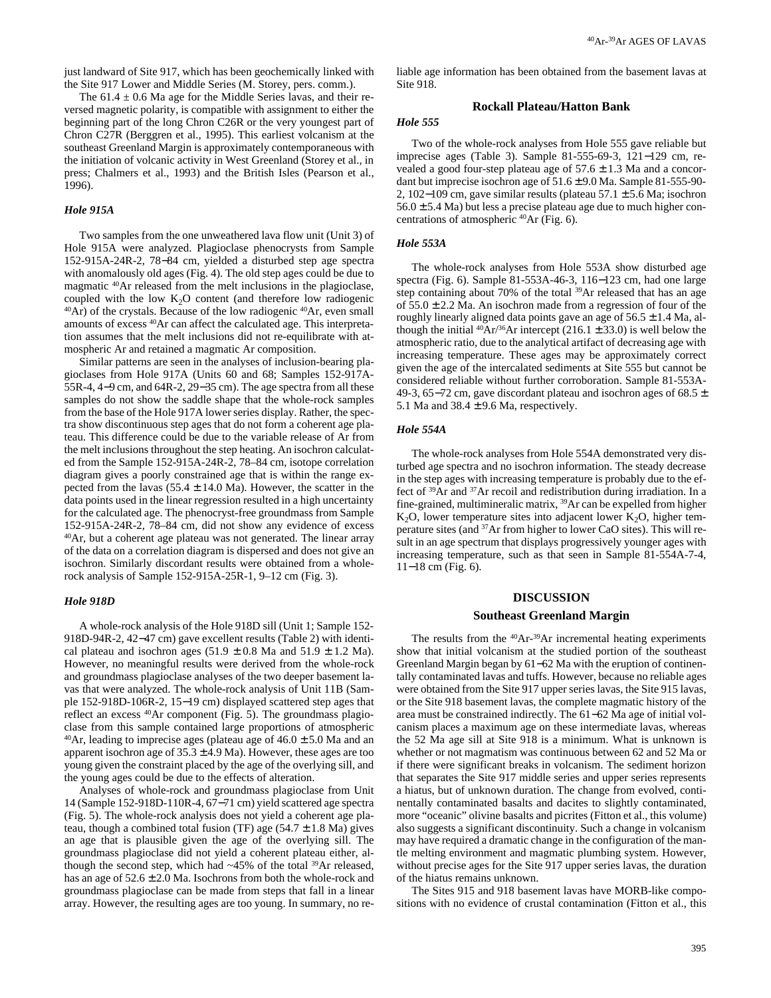just landward of Site 917, which has been geochemically linked with the Site 917 Lower and Middle Series (M. Storey, pers. comm.).

The  $61.4 \pm 0.6$  Ma age for the Middle Series lavas, and their reversed magnetic polarity, is compatible with assignment to either the beginning part of the long Chron C26R or the very youngest part of Chron C27R (Berggren et al., 1995). This earliest volcanism at the southeast Greenland Margin is approximately contemporaneous with the initiation of volcanic activity in West Greenland (Storey et al., in press; Chalmers et al., 1993) and the British Isles (Pearson et al., 1996).

### *Hole 915A*

Two samples from the one unweathered lava flow unit (Unit 3) of Hole 915A were analyzed. Plagioclase phenocrysts from Sample 152-915A-24R-2, 78−84 cm, yielded a disturbed step age spectra with anomalously old ages (Fig. 4). The old step ages could be due to magmatic 40Ar released from the melt inclusions in the plagioclase, coupled with the low K<sub>2</sub>O content (and therefore low radiogenic  $40Ar$ ) of the crystals. Because of the low radiogenic  $40Ar$ , even small amounts of excess 40Ar can affect the calculated age. This interpretation assumes that the melt inclusions did not re-equilibrate with atmospheric Ar and retained a magmatic Ar composition.

Similar patterns are seen in the analyses of inclusion-bearing plagioclases from Hole 917A (Units 60 and 68; Samples 152-917A-55R-4, 4−9 cm, and 64R-2, 29−35 cm). The age spectra from all these samples do not show the saddle shape that the whole-rock samples from the base of the Hole 917A lower series display. Rather, the spectra show discontinuous step ages that do not form a coherent age plateau. This difference could be due to the variable release of Ar from the melt inclusions throughout the step heating. An isochron calculated from the Sample 152-915A-24R-2, 78–84 cm, isotope correlation diagram gives a poorly constrained age that is within the range expected from the lavas  $(55.4 \pm 14.0 \text{ Ma})$ . However, the scatter in the data points used in the linear regression resulted in a high uncertainty for the calculated age. The phenocryst-free groundmass from Sample 152-915A-24R-2, 78–84 cm, did not show any evidence of excess 40Ar, but a coherent age plateau was not generated. The linear array of the data on a correlation diagram is dispersed and does not give an isochron. Similarly discordant results were obtained from a wholerock analysis of Sample 152-915A-25R-1, 9–12 cm (Fig. 3).

#### *Hole 918D*

A whole-rock analysis of the Hole 918D sill (Unit 1; Sample 152- 918D-94R-2, 42−47 cm) gave excellent results (Table 2) with identical plateau and isochron ages  $(51.9 \pm 0.8 \text{ Ma and } 51.9 \pm 1.2 \text{ Ma})$ . However, no meaningful results were derived from the whole-rock and groundmass plagioclase analyses of the two deeper basement lavas that were analyzed. The whole-rock analysis of Unit 11B (Sample 152-918D-106R-2, 15−19 cm) displayed scattered step ages that reflect an excess <sup>40</sup>Ar component (Fig. 5). The groundmass plagioclase from this sample contained large proportions of atmospheric <sup>40</sup>Ar, leading to imprecise ages (plateau age of  $46.0 \pm 5.0$  Ma and an apparent isochron age of  $35.3 \pm 4.9$  Ma). However, these ages are too young given the constraint placed by the age of the overlying sill, and the young ages could be due to the effects of alteration.

Analyses of whole-rock and groundmass plagioclase from Unit 14 (Sample 152-918D-110R-4, 67−71 cm) yield scattered age spectra (Fig. 5). The whole-rock analysis does not yield a coherent age plateau, though a combined total fusion (TF) age  $(54.7 \pm 1.8 \text{ Ma})$  gives an age that is plausible given the age of the overlying sill. The groundmass plagioclase did not yield a coherent plateau either, although the second step, which had  $\sim$ 45% of the total <sup>39</sup>Ar released, has an age of  $52.6 \pm 2.0$  Ma. Isochrons from both the whole-rock and groundmass plagioclase can be made from steps that fall in a linear array. However, the resulting ages are too young. In summary, no reliable age information has been obtained from the basement lavas at Site 918.

## **Rockall Plateau/Hatton Bank**

## *Hole 555*

Two of the whole-rock analyses from Hole 555 gave reliable but imprecise ages (Table 3). Sample 81-555-69-3, 121−129 cm, revealed a good four-step plateau age of  $57.6 \pm 1.3$  Ma and a concordant but imprecise isochron age of 51.6 ± 9.0 Ma. Sample 81-555-90- 2, 102−109 cm, gave similar results (plateau 57.1 ± 5.6 Ma; isochron  $56.0 \pm 5.4$  Ma) but less a precise plateau age due to much higher concentrations of atmospheric 40Ar (Fig. 6).

### *Hole 553A*

The whole-rock analyses from Hole 553A show disturbed age spectra (Fig. 6). Sample 81-553A-46-3, 116−123 cm, had one large step containing about 70% of the total  $39$ Ar released that has an age of  $55.0 \pm 2.2$  Ma. An isochron made from a regression of four of the roughly linearly aligned data points gave an age of  $56.5 \pm 1.4$  Ma, although the initial  $^{40}Ar/^{36}Ar$  intercept (216.1  $\pm$  33.0) is well below the atmospheric ratio, due to the analytical artifact of decreasing age with increasing temperature. These ages may be approximately correct given the age of the intercalated sediments at Site 555 but cannot be considered reliable without further corroboration. Sample 81-553A-49-3, 65−72 cm, gave discordant plateau and isochron ages of 68.5 ± 5.1 Ma and  $38.4 \pm 9.6$  Ma, respectively.

## *Hole 554A*

The whole-rock analyses from Hole 554A demonstrated very disturbed age spectra and no isochron information. The steady decrease in the step ages with increasing temperature is probably due to the effect of 39Ar and 37Ar recoil and redistribution during irradiation. In a fine-grained, multimineralic matrix, 39Ar can be expelled from higher  $K<sub>2</sub>O$ , lower temperature sites into adjacent lower  $K<sub>2</sub>O$ , higher temperature sites (and 37Ar from higher to lower CaO sites). This will result in an age spectrum that displays progressively younger ages with increasing temperature, such as that seen in Sample 81-554A-7-4, 11−18 cm (Fig. 6).

# **DISCUSSION Southeast Greenland Margin**

The results from the <sup>40</sup>Ar-<sup>39</sup>Ar incremental heating experiments show that initial volcanism at the studied portion of the southeast Greenland Margin began by 61−62 Ma with the eruption of continentally contaminated lavas and tuffs. However, because no reliable ages were obtained from the Site 917 upper series lavas, the Site 915 lavas, or the Site 918 basement lavas, the complete magmatic history of the area must be constrained indirectly. The 61−62 Ma age of initial volcanism places a maximum age on these intermediate lavas, whereas the 52 Ma age sill at Site 918 is a minimum. What is unknown is whether or not magmatism was continuous between 62 and 52 Ma or if there were significant breaks in volcanism. The sediment horizon that separates the Site 917 middle series and upper series represents a hiatus, but of unknown duration. The change from evolved, continentally contaminated basalts and dacites to slightly contaminated, more "oceanic" olivine basalts and picrites (Fitton et al., this volume) also suggests a significant discontinuity. Such a change in volcanism may have required a dramatic change in the configuration of the mantle melting environment and magmatic plumbing system. However, without precise ages for the Site 917 upper series lavas, the duration of the hiatus remains unknown.

The Sites 915 and 918 basement lavas have MORB-like compositions with no evidence of crustal contamination (Fitton et al., this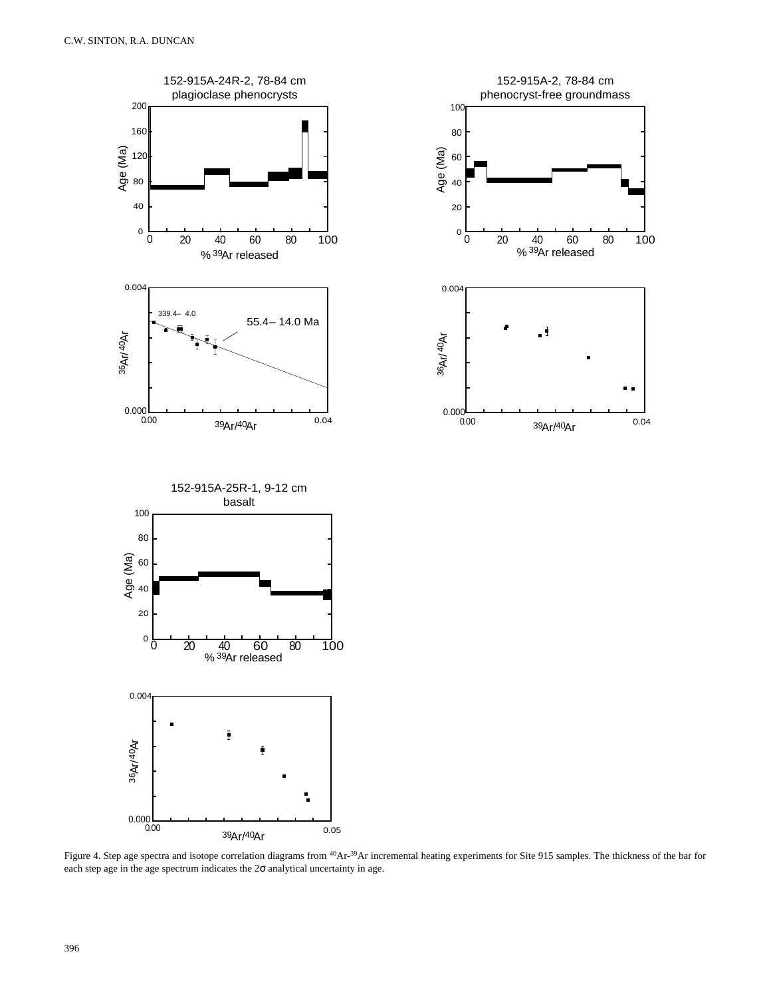

. .

Figure 4. Step age spectra and isotope correlation diagrams from <sup>40</sup>Ar-<sup>39</sup>Ar incremental heating experiments for Site 915 samples. The thickness of the bar for each step age in the age spectrum indicates the  $2\sigma$  analytical uncertainty in age.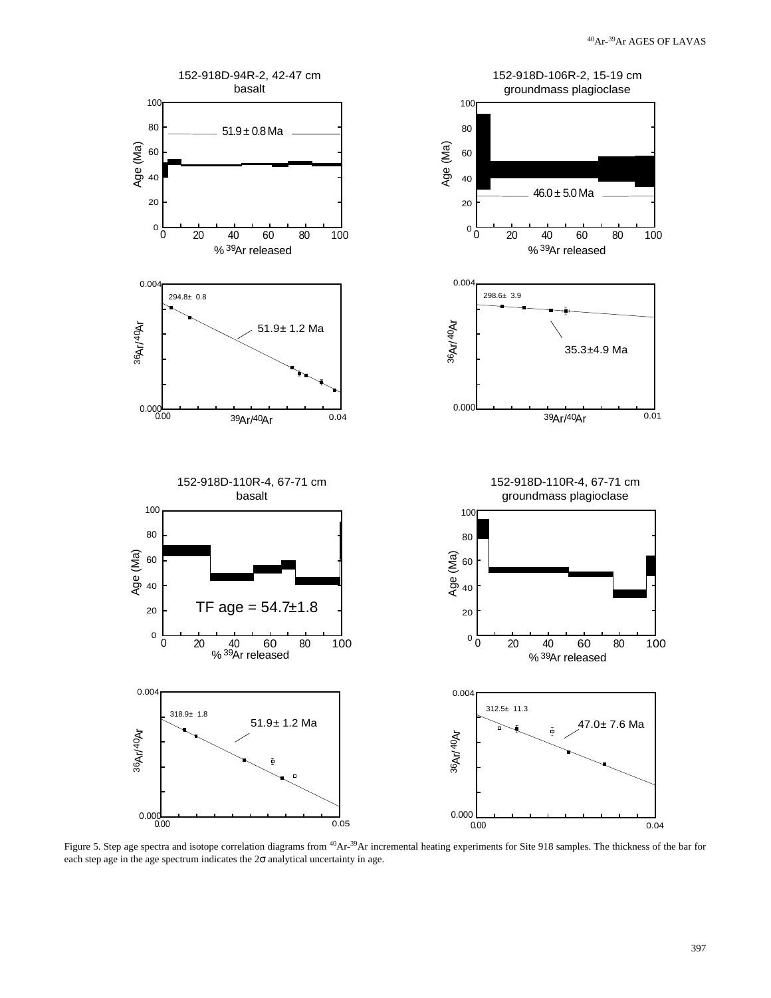

Figure 5. Step age spectra and isotope correlation diagrams from <sup>40</sup>Ar-<sup>39</sup>Ar incremental heating experiments for Site 918 samples. The thickness of the bar for each step age in the age spectrum indicates the  $2\sigma$  analytical uncertainty in age.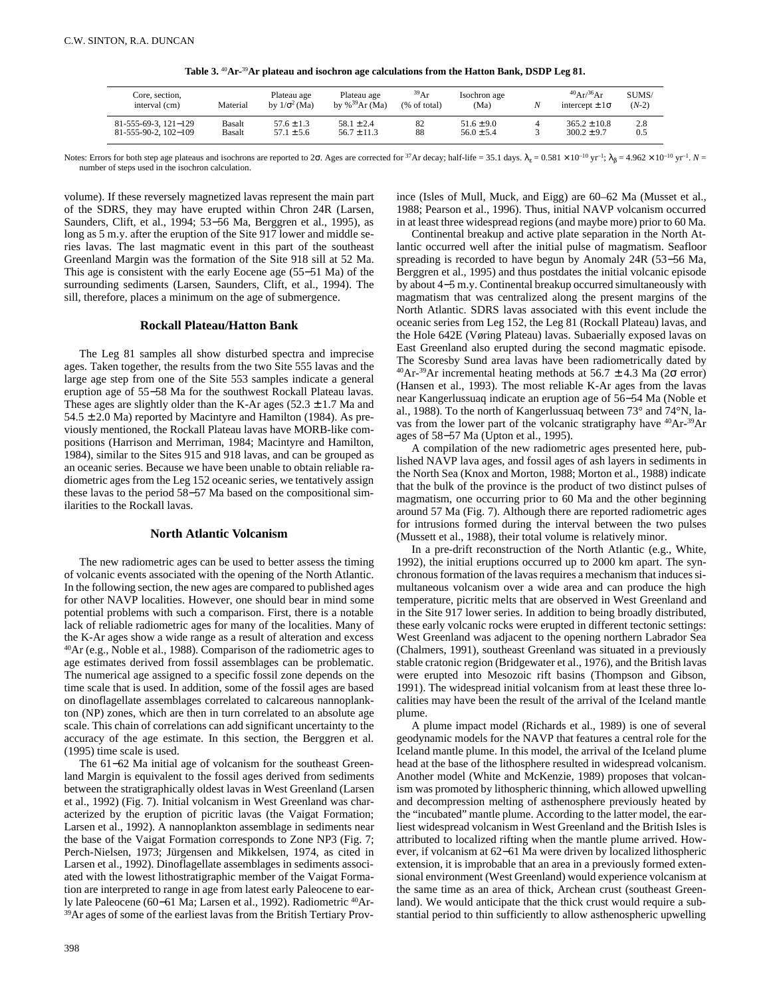**Table 3.** 40**Ar-**39**Ar plateau and isochron age calculations from the Hatton Bank, DSDP Leg 81.** 

| Core, section,<br>interval (cm) | Material | Plateau age<br>by $1/\sigma^2$ (Ma) | Plateau age<br>by % <sup>39</sup> Ar (Ma) | 39Ar<br>(% of total) | Isochron age<br>(Ma) | $^{40}Ar/^{36}Ar$<br>intercept $\pm 1\sigma$ | SUMS/<br>$(N-2)$ |
|---------------------------------|----------|-------------------------------------|-------------------------------------------|----------------------|----------------------|----------------------------------------------|------------------|
| 81-555-69-3, 121-129            | Basalt   | $57.6 + 1.3$                        | $58.1 + 2.4$                              | 82                   | $51.6 + 9.0$         | $365.2 \pm 10.8$                             | 2.8              |
| $81-555-90-2$ , $102-109$       | Basalt   | $57.1 \pm 5.6$                      | $56.7 \pm 11.3$                           | 88                   | $56.0 \pm 5.4$       | $300.2 \pm 9.7$                              | 0.5              |

Notes: Errors for both step age plateaus and isochrons are reported to 2 $\sigma$ . Ages are corrected for <sup>37</sup>Ar decay; half-life = 35.1 days.  $\lambda_g = 0.581 \times 10^{-10} \text{ yr}^{-1}$ ;  $\lambda_B = 4.962 \times 10^{-10} \text{ yr}^{-1}$ .  $N = 10^{-10} \text{ yr}^{-1}$ . number of steps used in the isochron calculation.

volume). If these reversely magnetized lavas represent the main part of the SDRS, they may have erupted within Chron 24R (Larsen, Saunders, Clift, et al., 1994; 53−56 Ma, Berggren et al., 1995), as long as 5 m.y. after the eruption of the Site 917 lower and middle series lavas. The last magmatic event in this part of the southeast Greenland Margin was the formation of the Site 918 sill at 52 Ma. This age is consistent with the early Eocene age (55−51 Ma) of the surrounding sediments (Larsen, Saunders, Clift, et al., 1994). The sill, therefore, places a minimum on the age of submergence.

### **Rockall Plateau/Hatton Bank**

The Leg 81 samples all show disturbed spectra and imprecise ages. Taken together, the results from the two Site 555 lavas and the large age step from one of the Site 553 samples indicate a general eruption age of 55−58 Ma for the southwest Rockall Plateau lavas. These ages are slightly older than the K-Ar ages  $(52.3 \pm 1.7 \text{ Ma and})$  $54.5 \pm 2.0$  Ma) reported by Macintyre and Hamilton (1984). As previously mentioned, the Rockall Plateau lavas have MORB-like compositions (Harrison and Merriman, 1984; Macintyre and Hamilton, 1984), similar to the Sites 915 and 918 lavas, and can be grouped as an oceanic series. Because we have been unable to obtain reliable radiometric ages from the Leg 152 oceanic series, we tentatively assign these lavas to the period 58−57 Ma based on the compositional similarities to the Rockall lavas.

# **North Atlantic Volcanism**

The new radiometric ages can be used to better assess the timing of volcanic events associated with the opening of the North Atlantic. In the following section, the new ages are compared to published ages for other NAVP localities. However, one should bear in mind some potential problems with such a comparison. First, there is a notable lack of reliable radiometric ages for many of the localities. Many of the K-Ar ages show a wide range as a result of alteration and excess 40Ar (e.g., Noble et al., 1988). Comparison of the radiometric ages to age estimates derived from fossil assemblages can be problematic. The numerical age assigned to a specific fossil zone depends on the time scale that is used. In addition, some of the fossil ages are based on dinoflagellate assemblages correlated to calcareous nannoplankton (NP) zones, which are then in turn correlated to an absolute age scale. This chain of correlations can add significant uncertainty to the accuracy of the age estimate. In this section, the Berggren et al. (1995) time scale is used.

The 61−62 Ma initial age of volcanism for the southeast Greenland Margin is equivalent to the fossil ages derived from sediments between the stratigraphically oldest lavas in West Greenland (Larsen et al., 1992) (Fig. 7). Initial volcanism in West Greenland was characterized by the eruption of picritic lavas (the Vaigat Formation; Larsen et al., 1992). A nannoplankton assemblage in sediments near the base of the Vaigat Formation corresponds to Zone NP3 (Fig. 7; Perch-Nielsen, 1973; Jürgensen and Mikkelsen, 1974, as cited in Larsen et al., 1992). Dinoflagellate assemblages in sediments associated with the lowest lithostratigraphic member of the Vaigat Formation are interpreted to range in age from latest early Paleocene to early late Paleocene (60−61 Ma; Larsen et al., 1992). Radiometric 40Ar- <sup>39</sup>Ar ages of some of the earliest lavas from the British Tertiary Province (Isles of Mull, Muck, and Eigg) are 60–62 Ma (Musset et al., 1988; Pearson et al., 1996). Thus, initial NAVP volcanism occurred in at least three widespread regions (and maybe more) prior to 60 Ma.

Continental breakup and active plate separation in the North Atlantic occurred well after the initial pulse of magmatism. Seafloor spreading is recorded to have begun by Anomaly 24R (53−56 Ma, Berggren et al., 1995) and thus postdates the initial volcanic episode by about 4−5 m.y. Continental breakup occurred simultaneously with magmatism that was centralized along the present margins of the North Atlantic. SDRS lavas associated with this event include the oceanic series from Leg 152, the Leg 81 (Rockall Plateau) lavas, and the Hole 642E (Vøring Plateau) lavas. Subaerially exposed lavas on East Greenland also erupted during the second magmatic episode. The Scoresby Sund area lavas have been radiometrically dated by <sup>40</sup>Ar-<sup>39</sup>Ar incremental heating methods at 56.7  $\pm$  4.3 Ma (2 $\sigma$  error) (Hansen et al., 1993). The most reliable K-Ar ages from the lavas near Kangerlussuaq indicate an eruption age of 56−54 Ma (Noble et al., 1988). To the north of Kangerlussuaq between 73° and 74°N, lavas from the lower part of the volcanic stratigraphy have 40Ar-39Ar ages of 58−57 Ma (Upton et al., 1995).

A compilation of the new radiometric ages presented here, published NAVP lava ages, and fossil ages of ash layers in sediments in the North Sea (Knox and Morton, 1988; Morton et al., 1988) indicate that the bulk of the province is the product of two distinct pulses of magmatism, one occurring prior to 60 Ma and the other beginning around 57 Ma (Fig. 7). Although there are reported radiometric ages for intrusions formed during the interval between the two pulses (Mussett et al., 1988), their total volume is relatively minor.

In a pre-drift reconstruction of the North Atlantic (e.g., White, 1992), the initial eruptions occurred up to 2000 km apart. The synchronous formation of the lavas requires a mechanism that induces simultaneous volcanism over a wide area and can produce the high temperature, picritic melts that are observed in West Greenland and in the Site 917 lower series. In addition to being broadly distributed, these early volcanic rocks were erupted in different tectonic settings: West Greenland was adjacent to the opening northern Labrador Sea (Chalmers, 1991), southeast Greenland was situated in a previously stable cratonic region (Bridgewater et al., 1976), and the British lavas were erupted into Mesozoic rift basins (Thompson and Gibson, 1991). The widespread initial volcanism from at least these three localities may have been the result of the arrival of the Iceland mantle plume.

A plume impact model (Richards et al., 1989) is one of several geodynamic models for the NAVP that features a central role for the Iceland mantle plume. In this model, the arrival of the Iceland plume head at the base of the lithosphere resulted in widespread volcanism. Another model (White and McKenzie, 1989) proposes that volcanism was promoted by lithospheric thinning, which allowed upwelling and decompression melting of asthenosphere previously heated by the "incubated" mantle plume. According to the latter model, the earliest widespread volcanism in West Greenland and the British Isles is attributed to localized rifting when the mantle plume arrived. However, if volcanism at 62−61 Ma were driven by localized lithospheric extension, it is improbable that an area in a previously formed extensional environment (West Greenland) would experience volcanism at the same time as an area of thick, Archean crust (southeast Greenland). We would anticipate that the thick crust would require a substantial period to thin sufficiently to allow asthenospheric upwelling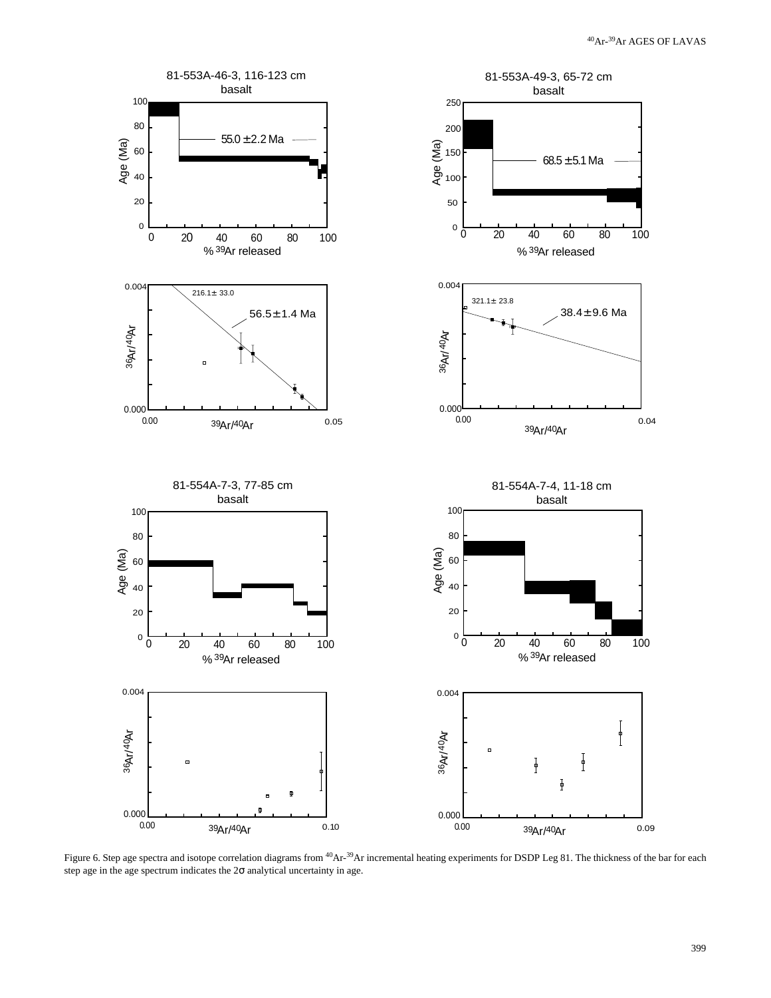

Figure 6. Step age spectra and isotope correlation diagrams from <sup>40</sup>Ar-<sup>39</sup>Ar incremental heating experiments for DSDP Leg 81. The thickness of the bar for each step age in the age spectrum indicates the  $2\sigma$  analytical uncertainty in age.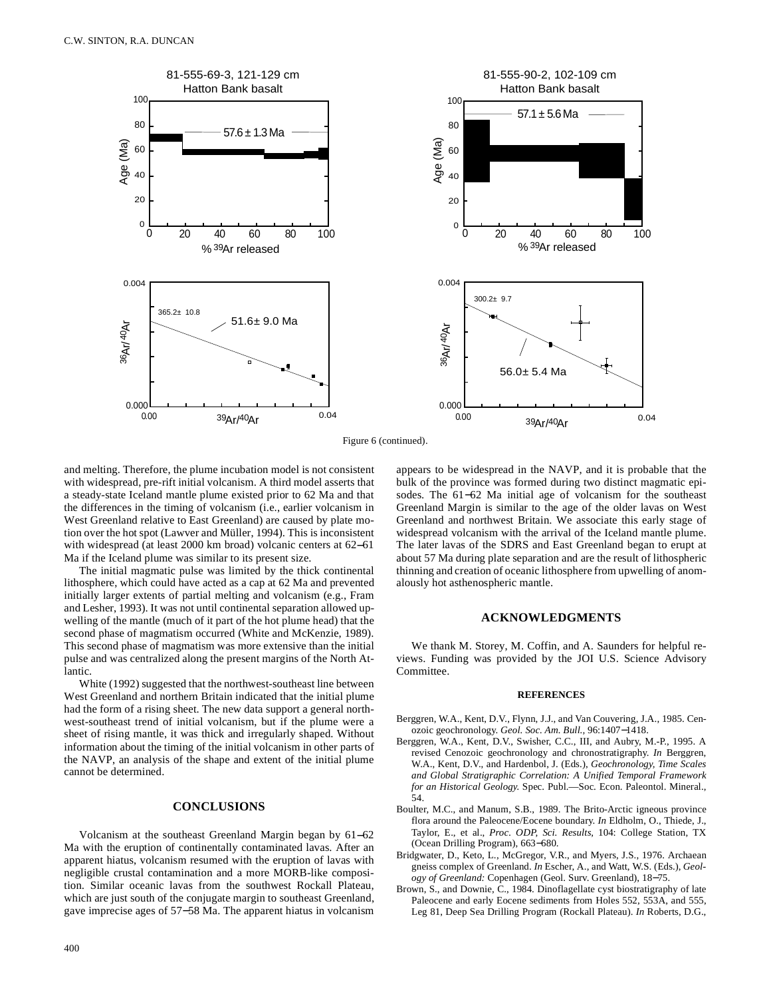

Figure 6 (continued).

and melting. Therefore, the plume incubation model is not consistent with widespread, pre-rift initial volcanism. A third model asserts that a steady-state Iceland mantle plume existed prior to 62 Ma and that the differences in the timing of volcanism (i.e., earlier volcanism in West Greenland relative to East Greenland) are caused by plate motion over the hot spot (Lawver and Müller, 1994). This is inconsistent with widespread (at least 2000 km broad) volcanic centers at 62−61 Ma if the Iceland plume was similar to its present size.

The initial magmatic pulse was limited by the thick continental lithosphere, which could have acted as a cap at 62 Ma and prevented initially larger extents of partial melting and volcanism (e.g., Fram and Lesher, 1993). It was not until continental separation allowed upwelling of the mantle (much of it part of the hot plume head) that the second phase of magmatism occurred (White and McKenzie, 1989). This second phase of magmatism was more extensive than the initial pulse and was centralized along the present margins of the North Atlantic.

White (1992) suggested that the northwest-southeast line between West Greenland and northern Britain indicated that the initial plume had the form of a rising sheet. The new data support a general northwest-southeast trend of initial volcanism, but if the plume were a sheet of rising mantle, it was thick and irregularly shaped. Without information about the timing of the initial volcanism in other parts of the NAVP, an analysis of the shape and extent of the initial plume cannot be determined.

# **CONCLUSIONS**

Volcanism at the southeast Greenland Margin began by 61−62 Ma with the eruption of continentally contaminated lavas. After an apparent hiatus, volcanism resumed with the eruption of lavas with negligible crustal contamination and a more MORB-like composition. Similar oceanic lavas from the southwest Rockall Plateau, which are just south of the conjugate margin to southeast Greenland, gave imprecise ages of 57−58 Ma. The apparent hiatus in volcanism appears to be widespread in the NAVP, and it is probable that the bulk of the province was formed during two distinct magmatic episodes. The 61−62 Ma initial age of volcanism for the southeast Greenland Margin is similar to the age of the older lavas on West Greenland and northwest Britain. We associate this early stage of widespread volcanism with the arrival of the Iceland mantle plume. The later lavas of the SDRS and East Greenland began to erupt at about 57 Ma during plate separation and are the result of lithospheric thinning and creation of oceanic lithosphere from upwelling of anomalously hot asthenospheric mantle.

# **ACKNOWLEDGMENTS**

We thank M. Storey, M. Coffin, and A. Saunders for helpful reviews. Funding was provided by the JOI U.S. Science Advisory Committee.

#### **REFERENCES**

- Berggren, W.A., Kent, D.V., Flynn, J.J., and Van Couvering, J.A., 1985. Cenozoic geochronology. *Geol. Soc. Am. Bull.,* 96:1407−1418.
- Berggren, W.A., Kent, D.V., Swisher, C.C., III, and Aubry, M.-P., 1995. A revised Cenozoic geochronology and chronostratigraphy. *In* Berggren, W.A., Kent, D.V., and Hardenbol, J. (Eds.), *Geochronology, Time Scales and Global Stratigraphic Correlation: A Unified Temporal Framework for an Historical Geology.* Spec. Publ.—Soc. Econ. Paleontol. Mineral., 54.
- Boulter, M.C., and Manum, S.B., 1989. The Brito-Arctic igneous province flora around the Paleocene/Eocene boundary. *In* Eldholm, O., Thiede, J., Taylor, E., et al., *Proc. ODP, Sci. Results,* 104: College Station, TX (Ocean Drilling Program), 663−680.
- Bridgwater, D., Keto, L., McGregor, V.R., and Myers, J.S., 1976. Archaean gneiss complex of Greenland. *In* Escher, A., and Watt, W.S. (Eds.), *Geology of Greenland:* Copenhagen (Geol. Surv. Greenland), 18−75.
- Brown, S., and Downie, C., 1984. Dinoflagellate cyst biostratigraphy of late Paleocene and early Eocene sediments from Holes 552, 553A, and 555, Leg 81, Deep Sea Drilling Program (Rockall Plateau). *In* Roberts, D.G.,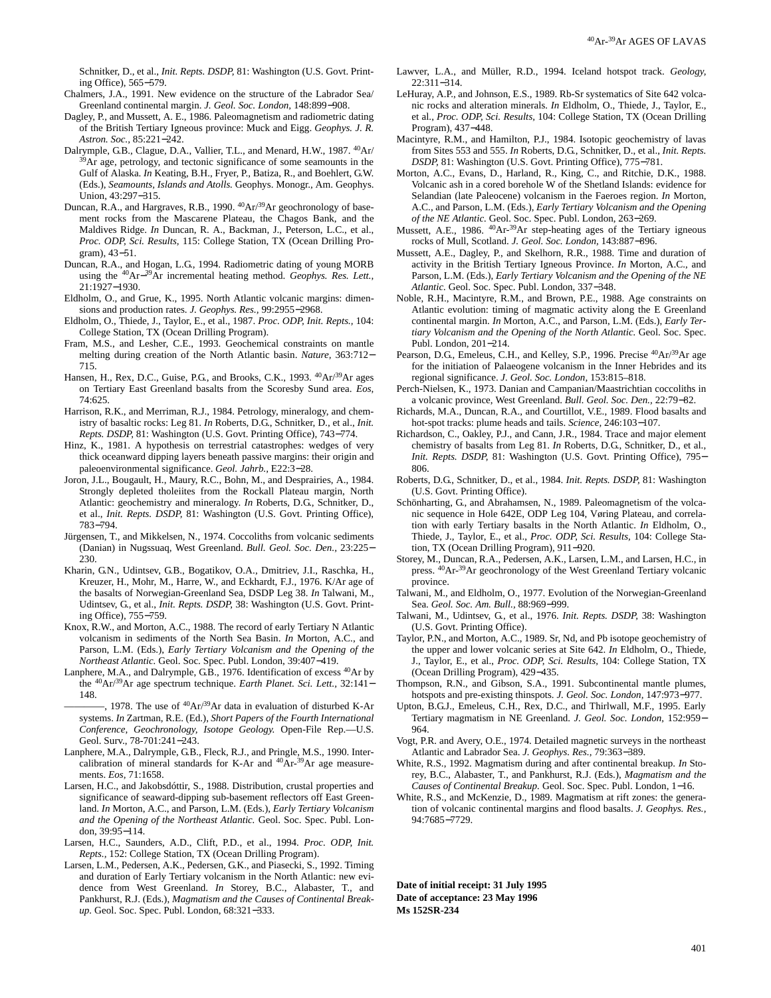Schnitker, D., et al., *Init. Repts. DSDP,* 81: Washington (U.S. Govt. Printing Office), 565−579.

- Chalmers, J.A., 1991. New evidence on the structure of the Labrador Sea/ Greenland continental margin. *J. Geol. Soc. London,* 148:899−908.
- Dagley, P., and Mussett, A. E., 1986. Paleomagnetism and radiometric dating of the British Tertiary Igneous province: Muck and Eigg. *Geophys. J. R. Astron. Soc.,* 85:221−242.
- Dalrymple, G.B., Clague, D.A., Vallier, T.L., and Menard, H.W., 1987. <sup>40</sup>Ar/ <sup>39</sup>Ar age, petrology, and tectonic significance of some seamounts in the Gulf of Alaska. *In* Keating, B.H., Fryer, P., Batiza, R., and Boehlert, G.W. (Eds.), *Seamounts, Islands and Atolls.* Geophys. Monogr., Am. Geophys. Union, 43:297−315.
- Duncan, R.A., and Hargraves, R.B., 1990.  $^{40}Ar^{39}Ar$  geochronology of basement rocks from the Mascarene Plateau, the Chagos Bank, and the Maldives Ridge. *In* Duncan, R. A., Backman, J., Peterson, L.C., et al., *Proc. ODP, Sci. Results,* 115: College Station, TX (Ocean Drilling Program), 43−51.
- Duncan, R.A., and Hogan, L.G., 1994. Radiometric dating of young MORB using the 40Ar−39Ar incremental heating method. *Geophys. Res. Lett.,* 21:1927−1930.
- Eldholm, O., and Grue, K., 1995. North Atlantic volcanic margins: dimensions and production rates. *J. Geophys. Res.,* 99:2955−2968.
- Eldholm, O., Thiede, J., Taylor, E., et al., 1987. *Proc. ODP, Init. Repts.,* 104: College Station, TX (Ocean Drilling Program).
- Fram, M.S., and Lesher, C.E., 1993. Geochemical constraints on mantle melting during creation of the North Atlantic basin. *Nature,* 363:712− 715.
- Hansen, H., Rex, D.C., Guise, P.G., and Brooks, C.K., 1993. <sup>40</sup>Ar/<sup>39</sup>Ar ages on Tertiary East Greenland basalts from the Scoresby Sund area. *Eos,* 74:625.
- Harrison, R.K., and Merriman, R.J., 1984. Petrology, mineralogy, and chemistry of basaltic rocks: Leg 81. *In* Roberts, D.G., Schnitker, D., et al., *Init. Repts. DSDP,* 81: Washington (U.S. Govt. Printing Office), 743−774.
- Hinz, K., 1981. A hypothesis on terrestrial catastrophes: wedges of very thick oceanward dipping layers beneath passive margins: their origin and paleoenvironmental significance. *Geol. Jahrb.,* E22:3−28.
- Joron, J.L., Bougault, H., Maury, R.C., Bohn, M., and Desprairies, A., 1984. Strongly depleted tholeiites from the Rockall Plateau margin, North Atlantic: geochemistry and mineralogy. *In* Roberts, D.G., Schnitker, D., et al., *Init. Repts. DSDP,* 81: Washington (U.S. Govt. Printing Office), 783−794.
- Jürgensen, T., and Mikkelsen, N., 1974. Coccoliths from volcanic sediments (Danian) in Nugssuaq, West Greenland. *Bull. Geol. Soc. Den.,* 23:225− 230.
- Kharin, G.N., Udintsev, G.B., Bogatikov, O.A., Dmitriev, J.I., Raschka, H., Kreuzer, H., Mohr, M., Harre, W., and Eckhardt, F.J., 1976. K/Ar age of the basalts of Norwegian-Greenland Sea, DSDP Leg 38. *In* Talwani, M., Udintsev, G., et al., *Init. Repts. DSDP,* 38: Washington (U.S. Govt. Printing Office), 755−759.
- Knox, R.W., and Morton, A.C., 1988. The record of early Tertiary N Atlantic volcanism in sediments of the North Sea Basin. *In* Morton, A.C., and Parson, L.M. (Eds.), *Early Tertiary Volcanism and the Opening of the Northeast Atlantic.* Geol. Soc. Spec. Publ. London, 39:407−419.
- Lanphere, M.A., and Dalrymple, G.B., 1976. Identification of excess 40Ar by the 40Ar/39Ar age spectrum technique. *Earth Planet. Sci. Lett.,* 32:141− 148.
	- -, 1978. The use of  ${}^{40}Ar/{}^{39}Ar$  data in evaluation of disturbed K-Ar systems. *In* Zartman, R.E. (Ed.), *Short Papers of the Fourth International Conference, Geochronology, Isotope Geology.* Open-File Rep.—U.S. Geol. Surv., 78-701:241−243.
- Lanphere, M.A., Dalrymple, G.B., Fleck, R.J., and Pringle, M.S., 1990. Intercalibration of mineral standards for K-Ar and  ${}^{40}\text{Ar-}^{39}\text{Ar}$  age measurements. *Eos,* 71:1658.
- Larsen, H.C., and Jakobsdóttir, S., 1988. Distribution, crustal properties and significance of seaward-dipping sub-basement reflectors off East Greenland. *In* Morton, A.C., and Parson, L.M. (Eds.), *Early Tertiary Volcanism and the Opening of the Northeast Atlantic.* Geol. Soc. Spec. Publ. London, 39:95−114.
- Larsen, H.C., Saunders, A.D., Clift, P.D., et al., 1994. *Proc. ODP, Init. Repts.,* 152: College Station, TX (Ocean Drilling Program).
- Larsen, L.M., Pedersen, A.K., Pedersen, G.K., and Piasecki, S., 1992. Timing and duration of Early Tertiary volcanism in the North Atlantic: new evidence from West Greenland. *In* Storey, B.C., Alabaster, T., and Pankhurst, R.J. (Eds.), *Magmatism and the Causes of Continental Breakup.* Geol. Soc. Spec. Publ. London, 68:321−333.
- Lawver, L.A., and Müller, R.D., 1994. Iceland hotspot track. *Geology,* 22:311−314.
- LeHuray, A.P., and Johnson, E.S., 1989. Rb-Sr systematics of Site 642 volcanic rocks and alteration minerals. *In* Eldholm, O., Thiede, J., Taylor, E., et al., *Proc. ODP, Sci. Results,* 104: College Station, TX (Ocean Drilling Program), 437−448.
- Macintyre, R.M., and Hamilton, P.J., 1984. Isotopic geochemistry of lavas from Sites 553 and 555. *In* Roberts, D.G., Schnitker, D., et al., *Init. Repts. DSDP,* 81: Washington (U.S. Govt. Printing Office), 775−781.
- Morton, A.C., Evans, D., Harland, R., King, C., and Ritchie, D.K., 1988. Volcanic ash in a cored borehole W of the Shetland Islands: evidence for Selandian (late Paleocene) volcanism in the Faeroes region. *In* Morton, A.C., and Parson, L.M. (Eds.), *Early Tertiary Volcanism and the Opening of the NE Atlantic.* Geol. Soc. Spec. Publ. London, 263−269.
- Mussett, A.E., 1986. <sup>40</sup>Ar-<sup>39</sup>Ar step-heating ages of the Tertiary igneous rocks of Mull, Scotland. *J. Geol. Soc. London,* 143:887−896.
- Mussett, A.E., Dagley, P., and Skelhorn, R.R., 1988. Time and duration of activity in the British Tertiary Igneous Province. *In* Morton, A.C., and Parson, L.M. (Eds.), *Early Tertiary Volcanism and the Opening of the NE Atlantic.* Geol. Soc. Spec. Publ. London, 337−348.
- Noble, R.H., Macintyre, R.M., and Brown, P.E., 1988. Age constraints on Atlantic evolution: timing of magmatic activity along the E Greenland continental margin. *In* Morton, A.C., and Parson, L.M. (Eds.), *Early Tertiary Volcanism and the Opening of the North Atlantic.* Geol. Soc. Spec. Publ. London, 201−214.
- Pearson, D.G., Emeleus, C.H., and Kelley, S.P., 1996. Precise <sup>40</sup>Ar/<sup>39</sup>Ar age for the initiation of Palaeogene volcanism in the Inner Hebrides and its regional significance. *J. Geol. Soc. London,* 153:815–818.
- Perch-Nielsen, K., 1973. Danian and Campanian/Maastrichtian coccoliths in a volcanic province, West Greenland. *Bull. Geol. Soc. Den.,* 22:79−82.
- Richards, M.A., Duncan, R.A., and Courtillot, V.E., 1989. Flood basalts and hot-spot tracks: plume heads and tails. *Science,* 246:103−107.
- Richardson, C., Oakley, P.J., and Cann, J.R., 1984. Trace and major element chemistry of basalts from Leg 81. *In* Roberts, D.G., Schnitker, D., et al., *Init. Repts. DSDP, 81: Washington (U.S. Govt. Printing Office), 795−* 806.
- Roberts, D.G., Schnitker, D., et al., 1984. *Init. Repts. DSDP,* 81: Washington (U.S. Govt. Printing Office).
- Schönharting, G., and Abrahamsen, N., 1989. Paleomagnetism of the volcanic sequence in Hole 642E, ODP Leg 104, Vøring Plateau, and correlation with early Tertiary basalts in the North Atlantic. *In* Eldholm, O., Thiede, J., Taylor, E., et al., *Proc. ODP, Sci. Results,* 104: College Station, TX (Ocean Drilling Program), 911−920.
- Storey, M., Duncan, R.A., Pedersen, A.K., Larsen, L.M., and Larsen, H.C., in press. 40Ar-39Ar geochronology of the West Greenland Tertiary volcanic province.
- Talwani, M., and Eldholm, O., 1977. Evolution of the Norwegian-Greenland Sea. *Geol. Soc. Am. Bull.,* 88:969−999.
- Talwani, M., Udintsev, G., et al., 1976. *Init. Repts. DSDP,* 38: Washington (U.S. Govt. Printing Office).
- Taylor, P.N., and Morton, A.C., 1989. Sr, Nd, and Pb isotope geochemistry of the upper and lower volcanic series at Site 642. *In* Eldholm, O., Thiede, J., Taylor, E., et al., *Proc. ODP, Sci. Results,* 104: College Station, TX (Ocean Drilling Program), 429−435.
- Thompson, R.N., and Gibson, S.A., 1991. Subcontinental mantle plumes, hotspots and pre-existing thinspots. *J. Geol. Soc. London,* 147:973−977.
- Upton, B.G.J., Emeleus, C.H., Rex, D.C., and Thirlwall, M.F., 1995. Early Tertiary magmatism in NE Greenland. *J. Geol. Soc. London,* 152:959− 964.
- Vogt, P.R. and Avery, O.E., 1974. Detailed magnetic surveys in the northeast Atlantic and Labrador Sea. *J. Geophys. Res.,* 79:363−389.
- White, R.S., 1992. Magmatism during and after continental breakup. *In* Storey, B.C., Alabaster, T., and Pankhurst, R.J. (Eds.), *Magmatism and the Causes of Continental Breakup.* Geol. Soc. Spec. Publ. London, 1−16.
- White, R.S., and McKenzie, D., 1989. Magmatism at rift zones: the generation of volcanic continental margins and flood basalts. *J. Geophys. Res.,* 94:7685−7729.

**Date of initial receipt: 31 July 1995 Date of acceptance: 23 May 1996 Ms 152SR-234**